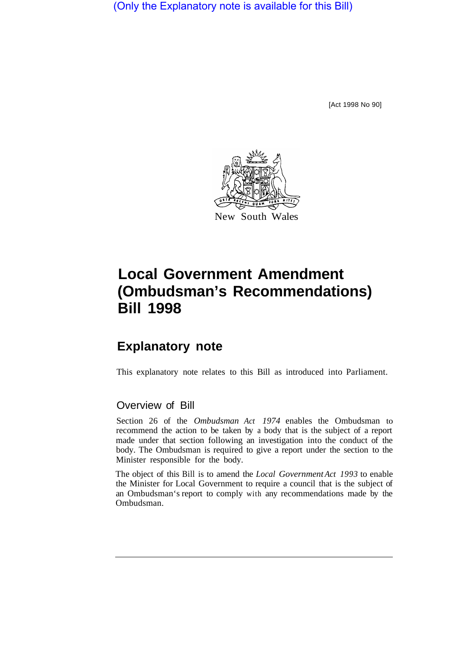(Only the Explanatory note is available for this Bill)

[Act 1998 No 90]



## **Local Government Amendment (Ombudsman's Recommendations) Bill 1998**

## **Explanatory note**

This explanatory note relates to this Bill as introduced into Parliament.

## Overview of Bill

Section 26 of the *Ombudsman Act 1974* enables the Ombudsman to recommend the action to be taken by a body that is the subject of a report made under that section following an investigation into the conduct of the body. The Ombudsman is required to give a report under the section to the Minister responsible for the body.

The object of this Bill is to amend the *Local Government Act 1993* to enable the Minister for Local Government to require a council that is the subject of an Ombudsman's report to comply with any recommendations made by the Ombudsman.